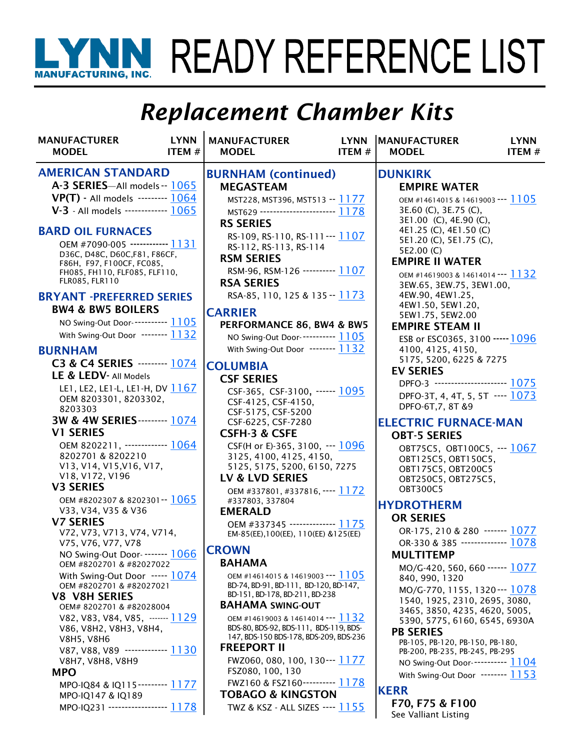# WINN READY REFERENCE LIST

## *Replacement Chamber Kits*

| <b>MANUFACTURER</b><br><b>MODEL</b>                                                                                                                                                                 | <b>LYNN</b><br>ITEM# | <b>MANUFACTURER</b><br><b>MODEL</b>                                                                                                                                                              | <b>LYNN</b><br>ITEM# | <b>MANUFACTURER</b><br><b>MODEL</b>                                                                                                                                                          | <b>LYNN</b><br>ITEM# |
|-----------------------------------------------------------------------------------------------------------------------------------------------------------------------------------------------------|----------------------|--------------------------------------------------------------------------------------------------------------------------------------------------------------------------------------------------|----------------------|----------------------------------------------------------------------------------------------------------------------------------------------------------------------------------------------|----------------------|
| <b>AMERICAN STANDARD</b><br>A-3 SERIES-All models -- 1065<br>VP(T) - All models -------- 1064<br>V-3 - All models ------------- 1065                                                                |                      | <b>BURNHAM</b> (continued)<br><b>MEGASTEAM</b><br>MST228, MST396, MST513 -- 1177<br>MST629 ---------------------- 1178                                                                           |                      | <b>DUNKIRK</b><br><b>EMPIRE WATER</b><br>OEM #14614015 & 14619003 --- 1105<br>3E.60 (C), 3E.75 (C),                                                                                          |                      |
| <b>BARD OIL FURNACES</b><br>OEM #7090-005 ------------ 1131<br>D36C, D48C, D60C, F81, F86CF,<br>F86H, F97, F100CF, FC085,<br>FH085, FH110, FLF085, FLF110,<br>FLR085, FLR110                        |                      | <b>RS SERIES</b><br>RS-109, RS-110, RS-111--- 1107<br>RS-112, RS-113, RS-114<br><b>RSM SERIES</b><br>RSM-96, RSM-126 --------- 1107<br><b>RSA SERIES</b>                                         |                      | 3E1.00 (C), 4E.90 (C),<br>4E1.25 (C), 4E1.50 (C)<br>5E1.20 (C), 5E1.75 (C),<br>5E2.00 (C)<br><b>EMPIRE II WATER</b><br>OEM #14619003 & 14614014 --- 1132<br>3EW.65, 3EW.75, 3EW1.00,         |                      |
| <b>BRYANT -PREFERRED SERIES</b><br><b>BW4 &amp; BW5 BOILERS</b><br>NO Swing-Out Door----------- 1105<br>With Swing-Out Door ------- 1132                                                            |                      | RSA-85, 110, 125 & 135 -- 1173<br><b>CARRIER</b><br>PERFORMANCE 86, BW4 & BW5<br>NO Swing-Out Door----------- 1105                                                                               |                      | 4EW.90, 4EW1.25,<br>4EW1.50, 5EW1.20,<br>5EW1.75, 5EW2.00<br><b>EMPIRE STEAM II</b><br>ESB or ESC0365, 3100 ----- 1096                                                                       |                      |
| <b>BURNHAM</b><br>C3 & C4 SERIES --------- 1074<br>LE & LEDV- All Models<br>LE1, LE2, LE1-L, LE1-H, DV 1167<br>OEM 8203301, 8203302,<br>8203303                                                     |                      | With Swing-Out Door ------- 1132<br><b>COLUMBIA</b><br><b>CSF SERIES</b><br>CSF-365, CSF-3100, ------ 1095<br>CSF-4125, CSF-4150,                                                                |                      | 4100, 4125, 4150,<br>5175, 5200, 6225 & 7275<br><b>EV SERIES</b><br>DPFO-3 ---------------------- 1075<br>DPFO-3T, 4, 4T, 5, 5T ---- 1073<br>DPFO-6T, 7, 8T & 9                              |                      |
| 3W & 4W SERIES--------- 1074<br><b>V1 SERIES</b><br>OEM 8202211, ------------ 1064<br>8202701 & 8202210<br>V13, V14, V15, V16, V17,<br>V18, V172, V196                                              |                      | CSF-5175, CSF-5200<br>CSF-6225, CSF-7280<br><b>CSFH-3 &amp; CSFE</b><br>CSF(H or E)-365, 3100, --- 1096<br>3125, 4100, 4125, 4150,<br>5125, 5175, 5200, 6150, 7275                               |                      | <b>ELECTRIC FURNACE-MAN</b><br><b>OBT-5 SERIES</b><br>OBT75C5, OBT100C5, --- 1067<br>OBT125C5, OBT150C5,<br>OBT175C5, OBT200C5                                                               |                      |
| <b>V3 SERIES</b><br>OEM #8202307 & 8202301 -- 1065<br>V33, V34, V35 & V36<br><b>V7 SERIES</b><br>V72, V73, V713, V74, V714,                                                                         |                      | LV & LVD SERIES<br>OEM #337801, #337816, ---- 1172<br>#337803, 337804<br><b>EMERALD</b><br>OEM #337345 ------------- 1175<br>EM-85(EE), 100(EE), 110(EE) & 125(EE)                               |                      | OBT250C5, OBT275C5,<br><b>OBT300C5</b><br><b>HYDROTHERM</b><br><b>OR SERIES</b><br>OR-175, 210 & 280 ------- 1077                                                                            |                      |
| V75, V76, V77, V78<br>NO Swing-Out Door- ------- 1066<br>OEM #8202701 & #82027022<br>With Swing-Out Door $--- 1074$<br>OEM #8202701 & #82027021<br><b>V8 V8H SERIES</b><br>OEM# 8202701 & #82028004 |                      | <b>CROWN</b><br><b>BAHAMA</b><br>OEM #14614015 & 14619003 --- 1105<br>BD-74, BD-91, BD-111, BD-120, BD-147,<br>BD-151, BD-178, BD-211, BD-238<br><b>BAHAMA SWING-OUT</b>                         |                      | OR-330 & 385 -------------- 1078<br><b>MULTITEMP</b><br>MO/G-420, 560, 660 ------ 1077<br>840, 990, 1320<br>MO/G-770, 1155, 1320--- 1078<br>1540, 1925, 2310, 2695, 3080,                    |                      |
| V82, V83, V84, V85, ------- <u>1129</u><br>V86, V8H2, V8H3, V8H4,<br><b>V8H5, V8H6</b><br>V87, V88, V89 ------------ 1130<br>V8H7, V8H8, V8H9                                                       |                      | OEM #14619003 & 14614014 --- 1132<br>BDS-80, BDS-92, BDS-111, BDS-119, BDS-<br>147, BDS-150 BDS-178, BDS-209, BDS-236<br><b>FREEPORT II</b><br>FWZ060, 080, 100, 130--- 1177<br>FSZ080, 100, 130 |                      | 3465, 3850, 4235, 4620, 5005,<br>5390, 5775, 6160, 6545, 6930A<br><b>PB SERIES</b><br>PB-105, PB-120, PB-150, PB-180,<br>PB-200, PB-235, PB-245, PB-295<br>NO Swing-Out Door----------- 1104 |                      |
| <b>MPO</b><br>MPO-IQ84 & IQ115--------- 1177<br>MPO-IQ147 & IQ189<br>MPO-IQ231 ----------------- 1178                                                                                               |                      | FWZ160 & FSZ160---------- 1178<br><b>TOBAGO &amp; KINGSTON</b><br>TWZ & KSZ - ALL SIZES ---- <u>1155</u>                                                                                         |                      | With Swing-Out Door ------- 1153<br><b>KERR</b><br>F70, F75 & F100<br>See Valliant Listing                                                                                                   |                      |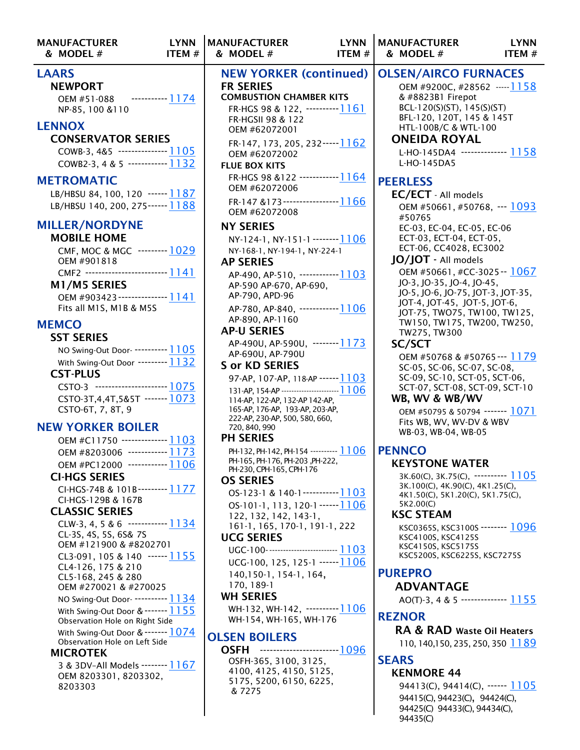| <b>MANUFACTURER</b><br>& MODEL#                                                                                                                                                                                                                                                                                                                                                                                                                                                                                                                                                                                                                                                                                                                                                                                                                                                                                                                                                                                                                                                                                                                      | <b>LYNN</b><br>ITEM# | <b>MANUFACTURER</b><br>& MODEL#                                                                                                                                                                                                                                                                                                                                                                                                                                                                                                                                                                                                                                                                                                                                                                                                                                                                                                                                                                                                                                                                                                                                                                                                                                           | <b>LYNN</b><br>ITEM # |
|------------------------------------------------------------------------------------------------------------------------------------------------------------------------------------------------------------------------------------------------------------------------------------------------------------------------------------------------------------------------------------------------------------------------------------------------------------------------------------------------------------------------------------------------------------------------------------------------------------------------------------------------------------------------------------------------------------------------------------------------------------------------------------------------------------------------------------------------------------------------------------------------------------------------------------------------------------------------------------------------------------------------------------------------------------------------------------------------------------------------------------------------------|----------------------|---------------------------------------------------------------------------------------------------------------------------------------------------------------------------------------------------------------------------------------------------------------------------------------------------------------------------------------------------------------------------------------------------------------------------------------------------------------------------------------------------------------------------------------------------------------------------------------------------------------------------------------------------------------------------------------------------------------------------------------------------------------------------------------------------------------------------------------------------------------------------------------------------------------------------------------------------------------------------------------------------------------------------------------------------------------------------------------------------------------------------------------------------------------------------------------------------------------------------------------------------------------------------|-----------------------|
| <b>LAARS</b><br><b>NEWPORT</b><br>OEM #51-088<br>NP-85, 100 & 110                                                                                                                                                                                                                                                                                                                                                                                                                                                                                                                                                                                                                                                                                                                                                                                                                                                                                                                                                                                                                                                                                    | $\frac{1174}{2}$     | <b>NEW YORKER (continued)</b><br><b>FR SERIES</b><br><b>COMBUSTION CHAMBER KITS</b><br>FR-HGS 98 & 122, ---------- <u>1161</u><br>FR-HGSII 98 & 122                                                                                                                                                                                                                                                                                                                                                                                                                                                                                                                                                                                                                                                                                                                                                                                                                                                                                                                                                                                                                                                                                                                       |                       |
| <b>LENNOX</b><br><b>CONSERVATOR SERIES</b><br>COWB-3, 4&5 --------------- 1105<br>COWB2-3, 4 & 5 ------------ <u>1132</u>                                                                                                                                                                                                                                                                                                                                                                                                                                                                                                                                                                                                                                                                                                                                                                                                                                                                                                                                                                                                                            |                      | OEM #62072001<br>FR-147, 173, 205, 232----- <u>1162</u><br>OEM #62072002<br><b>FLUE BOX KITS</b>                                                                                                                                                                                                                                                                                                                                                                                                                                                                                                                                                                                                                                                                                                                                                                                                                                                                                                                                                                                                                                                                                                                                                                          |                       |
| <b>METROMATIC</b><br>LB/HBSU 84, 100, 120 ------ 1187<br>LB/HBSU 140, 200, 275------ 1188                                                                                                                                                                                                                                                                                                                                                                                                                                                                                                                                                                                                                                                                                                                                                                                                                                                                                                                                                                                                                                                            |                      | FR-HGS 98 &122 ------------ 1164<br>OEM #62072006<br>FR-147 &173------------------1166                                                                                                                                                                                                                                                                                                                                                                                                                                                                                                                                                                                                                                                                                                                                                                                                                                                                                                                                                                                                                                                                                                                                                                                    |                       |
| <b>MILLER/NORDYNE</b><br><b>MOBILE HOME</b><br>CMF, MOC & MGC --------- 1029<br>OEM #901818<br>CMF2 ------------------------- 1141<br>M1/M5 SERIES<br>OEM #903423 --------------- 1141<br>Fits all M1S, M1B & M5S<br><b>MEMCO</b><br><b>SST SERIES</b><br>NO Swing-Out Door- ---------- 1105<br>With Swing-Out Door --------- 1132<br><b>CST-PLUS</b><br>CSTO-3 ---------------------- 1075<br>CSTO-3T, 4, 4T, 5& 5T ------- 1073<br>CSTO-6T, 7, 8T, 9<br><b>NEW YORKER BOILER</b><br>OEM #C11750 ------------- 1103<br>OEM #8203006 ------------ 1173<br>OEM #PC12000 ------------ 1106<br><b>CI-HGS SERIES</b><br>CI-HGS-74B & 101B--------- 1177<br>CI-HGS-129B & 167B<br><b>CLASSIC SERIES</b><br>CLW-3, 4, 5 & 6 ------------ 1 1 3 4<br>CL-3S, 4S, 5S, 6S& 7S<br>OEM #121900 & #8202701<br>CL3-091, 105 & 140 $\cdots$ [] 155<br>CL4-126, 175 & 210<br>CL5-168, 245 & 280<br>OEM #270021 & #270025<br>NO Swing-Out Door- ---------- 1134<br>With Swing-Out Door & ------- 1155<br>Observation Hole on Right Side<br>With Swing-Out Door & ------- 1074<br>Observation Hole on Left Side<br><b>MICROTEK</b><br>3 & 3DV-All Models -------- 1167 |                      | OEM #62072008<br><b>NY SERIES</b><br>NY-124-1, NY-151-1 -------- <u>1106</u><br>NY-168-1, NY-194-1, NY-224-1<br><b>AP SERIES</b><br>AP-490, AP-510, ------------1103<br>AP-590 AP-670, AP-690,<br>AP-790, APD-96<br>AP-780, AP-840, ------------1106<br>AP-890, AP-1160<br><b>AP-U SERIES</b><br>AP-490U, AP-590U, -------- 1173<br>AP-690U, AP-790U<br><b>S or KD SERIES</b><br>97-AP, 107-AP, 118-AP ------ <u>1103</u><br>131-AP, 154-AP ----------------------- <u>1106</u><br>114-AP, 122-AP, 132-AP 142-AP,<br>165-AP, 176-AP, 193-AP, 203-AP,<br>222-AP, 230-AP, 500, 580, 660,<br>720, 840, 990<br><b>PH SERIES</b><br>PH-132, PH-142, PH-154 --------- 1106<br>PH-165, PH-176, PH-203, PH-222,<br>PH-230, CPH-165, CPH-176<br><b>OS SERIES</b><br>$OS-123-1$ & 140-1-----------1103<br>OS-101-1, 113, 120-1 ------ <u>1106</u><br>122, 132, 142, 143-1,<br>161-1, 165, 170-1, 191-1, 222<br><b>UCG SERIES</b><br>UGC-100-------------------------- 1103<br>UCG-100, 125, 125-1 ------ <u>1106</u><br>140, 150-1, 154-1, 164,<br>170, 189-1<br><b>WH SERIES</b><br>WH-132, WH-142, ---------- <u>1</u> 106<br>WH-154, WH-165, WH-176<br><b>OLSEN BOILERS</b><br>------------------------- 1096<br><b>OSFH</b><br>OSFH-365, 3100, 3125,<br>4100, 4125, 4150, 5125, |                       |
| OEM 8203301, 8203302,<br>8203303                                                                                                                                                                                                                                                                                                                                                                                                                                                                                                                                                                                                                                                                                                                                                                                                                                                                                                                                                                                                                                                                                                                     |                      | 5175, 5200, 6150, 6225,<br>& 7275                                                                                                                                                                                                                                                                                                                                                                                                                                                                                                                                                                                                                                                                                                                                                                                                                                                                                                                                                                                                                                                                                                                                                                                                                                         |                       |

 $\overline{\phantom{a}}$ 

RKER (continued) **ION CHAMBER KITS** 8 & 122, ----------[1161](https://www.lynnmfg.com/wp-content/uploads/spec/Specification-Sheet-1161.pdf) 98 & 122 072001 73, 205, 232-----<u>[1162](https://www.lynnmfg.com/wp-content/uploads/spec/Specification-Sheet-1162.pdf)</u> 072002 8 &122 -------------[1164](https://www.lynnmfg.com/wp-content/uploads/spec/Specification-Sheet-1164.pdf) 072006 173-------------------[1166](https://www.lynnmfg.com/wp-content/uploads/spec/Specification-Sheet-1166.pdf) 072008 , NY-151-1 -------- [1106](https://www.lynnmfg.com/wp-content/uploads/spec/Specification-Sheet-1106.pdf) NY-194-1, NY-224-1 AP-490, AP-510, ------------[1103](https://www.lynnmfg.com/wp-content/uploads/spec/Specification-Sheet-1103.pdf) AP-590 AP-670, AP-690, APD-96 AP-780, AP-840, ------------[1106](https://www.lynnmfg.com/wp-content/uploads/spec/Specification-Sheet-1106.pdf) AP-1160 AP-590U, --------<u>[1173](https://www.lynnmfg.com/wp-content/uploads/spec/Specification-Sheet-1173.pdf)</u> AP-790U SERIES 07-AP, 118-AP ------<u>11</u>03 131-AP, 154-AP -----------------------[1106](https://www.lynnmfg.com/wp-content/uploads/spec/Specification-Sheet-1106.pdf) 2-AP, 132-AP 142-AP, 6-AP, 193-AP, 203-AP, 222-AP, 230-AP, 500, 580, 660, PH-132, PH-142, PH-154 ---------- [1106](https://www.lynnmfg.com/wp-content/uploads/spec/Specification-Sheet-1106.pdf) PH-165, PH-176, PH-203 ,PH-222, H-165, CPH-176 OS-123-1 & 140-1-----------[1103](https://www.lynnmfg.com/wp-content/uploads/spec/Specification-Sheet-1103.pdf) , 113, 120-1 ----- [1106](https://www.lynnmfg.com/wp-content/uploads/spec/Specification-Sheet-1106.pdf) 122, 132, 142, 143-1, 161-1, 165, 170-1, 191-1, 222 --------------------------- [1103](https://www.lynnmfg.com/wp-content/uploads/spec/Specification-Sheet-1103.pdf) , 125, 125-1 ------11<mark>06</mark> 1, 154-1, 164, WH-142, ----------[1106](https://www.lynnmfg.com/wp-content/uploads/spec/Specification-Sheet-1106.pdf) WH-165, WH-176 ILERS  $#$  ITEM  $#$  $& \text{MODEL} \#$  ITEM  $\#$ OLSEN/AIRCO FURNACES OEM #9200C, #28562 -----[1158](https://www.lynnmfg.com/wp-content/uploads/spec/Specification-Sheet-1158.pdf) & #8823B1 Firepot BCL-120(S)(ST), 145(S)(ST) BFL-120, 120T, 145 & 145T HTL-100B/C & WTL-100 ONEIDA ROYAL **PEERLESS** #50765 SC/SCT **PENNCO** 5K2.00(C) PUREPRO REZNOR

L-HO-145DA4 -------------- [1158](https://www.lynnmfg.com/wp-content/uploads/spec/Specification-Sheet-1158.pdf) L-HO-145DA5 EC/ECT - All models OEM #50661, #50768, --- [1093](https://www.lynnmfg.com/wp-content/uploads/spec/Specification-Sheet-1093.pdf) EC-03, EC-04, EC-05, EC-06 ECT-03, ECT-04, ECT-05, ECT-06, CC4028, EC3002 JO/JOT - All models OEM #50661, #CC-3025-- [1067](https://www.lynnmfg.com/wp-content/uploads/spec/Specification-Sheet-1067.pdf) JO-3, JO-35, JO-4, JO-45, JO-5, JO-6, JO-75, JOT-3, JOT-35, JOT-4, JOT-45, JOT-5, JOT-6, JOT-75, TWO75, TW100, TW125, TW150, TW175, TW200, TW250, TW275, TW300 OEM #50768 & #50765--- [1179](https://www.lynnmfg.com/wp-content/uploads/spec/Specification-Sheet-1179.pdf) SC-05, SC-06, SC-07, SC-08, SC-09, SC-10, SCT-05, SCT-06, SCT-07, SCT-08, SCT-09, SCT-10 WB, WV & WB/WV OEM #50795 & 50794 ------- [1071](https://www.lynnmfg.com/wp-content/uploads/spec/Specification-Sheet-1071.pdf) Fits WB, WV, WV-DV & WBV WB-03, WB-04, WB-05

MANUFACTURER LYNN

#### KEYSTONE WATER

3K.60(C), 3K.75(C), ---------- [1105](https://www.lynnmfg.com/wp-content/uploads/spec/Specification-Sheet-1105.pdf) 3K.100(C), 4K.90(C), 4K1.25(C), 4K1.50(C), 5K1.20(C), 5K1.75(C),

### KSC STEAM

KSC0365S, KSC3100S -------- [1096](https://www.lynnmfg.com/wp-content/uploads/spec/Specification-Sheet-1096.pdf) KSC4100S, KSC4125S KSC4150S, KSC5175S KSC5200S, KSC6225S, KSC7275S

ADVANTAGE

AO(T)-3, 4 & 5 -------------- [1155](https://www.lynnmfg.com/wp-content/uploads/spec/Specification-Sheet-1155.pdf)

RA & RAD Waste Oil Heaters 110, 140,150, 235, 250, 350 1889

#### **SEARS**

KENMORE 44 94413(C), 94414(C), ------ [1105](https://www.lynnmfg.com/wp-content/uploads/spec/Specification-Sheet-1105.pdf) 94415(C), 94423(C), 94424(C), 94425(C) 94433(C), 94434(C), 94435(C)